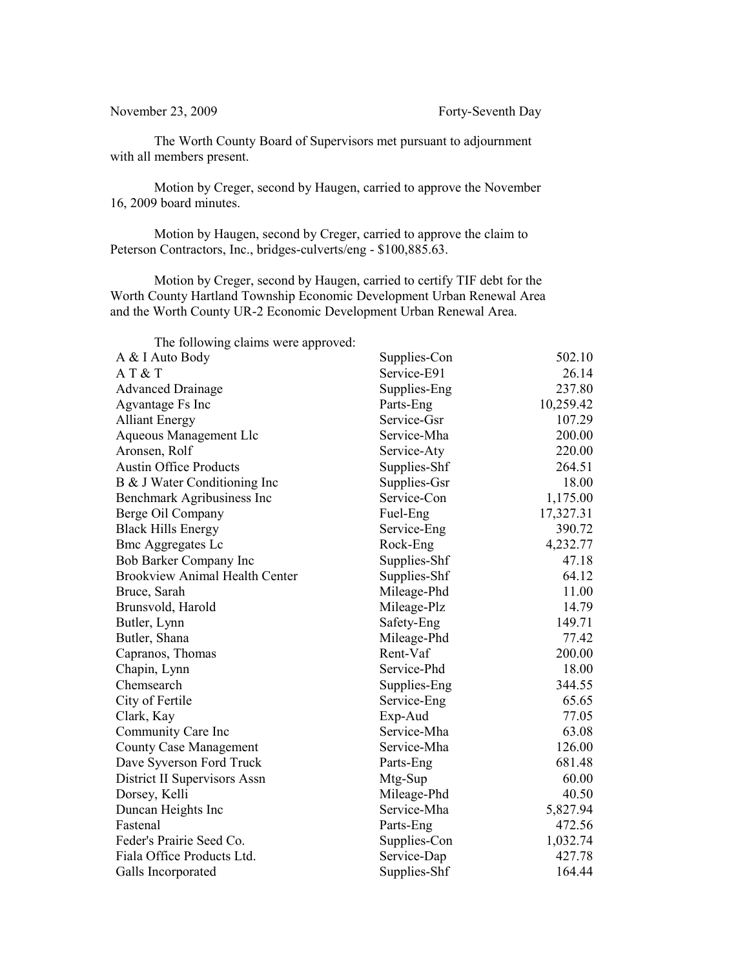The Worth County Board of Supervisors met pursuant to adjournment with all members present.

Motion by Creger, second by Haugen, carried to approve the November 16, 2009 board minutes.

Motion by Haugen, second by Creger, carried to approve the claim to Peterson Contractors, Inc., bridges-culverts/eng - \$100,885.63.

Motion by Creger, second by Haugen, carried to certify TIF debt for the Worth County Hartland Township Economic Development Urban Renewal Area and the Worth County UR-2 Economic Development Urban Renewal Area.

The following claims were approved: A & I Auto Body Supplies-Con 502.10 A T & T Service-E91 26.14 Advanced Drainage Supplies-Eng 237.80 Agvantage Fs Inc Parts-Eng Parts-Eng 10,259.42 Alliant Energy Service-Gsr 107.29 Aqueous Management Llc Service-Mha 200.00 Aronsen, Rolf Service-Aty 220.00 Austin Office Products Supplies-Shf 264.51 B & J Water Conditioning Inc Supplies-Gsr 18.00 Benchmark Agribusiness Inc Service-Con 1,175.00 Berge Oil Company Fuel-Eng 17,327.31 Black Hills Energy Service-Eng 390.72 Bmc Aggregates Lc Rock-Eng 4,232.77 Bob Barker Company Inc Supplies-Shf 47.18 Brookview Animal Health Center Supplies-Shf 64.12 Bruce, Sarah Mileage-Phd 11.00 Brunsvold, Harold Mileage-Plz 14.79 Butler, Lynn Safety-Eng 149.71 Butler, Shana Mileage-Phd 77.42 Capranos, Thomas Rent-Vaf 200.00 Chapin, Lynn Service-Phd 18.00 Chemsearch Supplies-Eng 344.55 City of Fertile Service-Eng 65.65 Clark, Kay Exp-Aud 77.05 Community Care Inc Service-Mha 63.08 County Case Management Service-Mha 126.00 Dave Syverson Ford Truck Parts-Eng 681.48 District II Supervisors Assn Mtg-Sup 60.00 Dorsey, Kelli Mileage-Phd 40.50 Duncan Heights Inc Service-Mha 5,827.94 Fastenal Parts-Eng 472.56 Feder's Prairie Seed Co. Supplies-Con 1,032.74 Fiala Office Products Ltd. Service-Dap 427.78 Galls Incorporated Supplies-Shf 164.44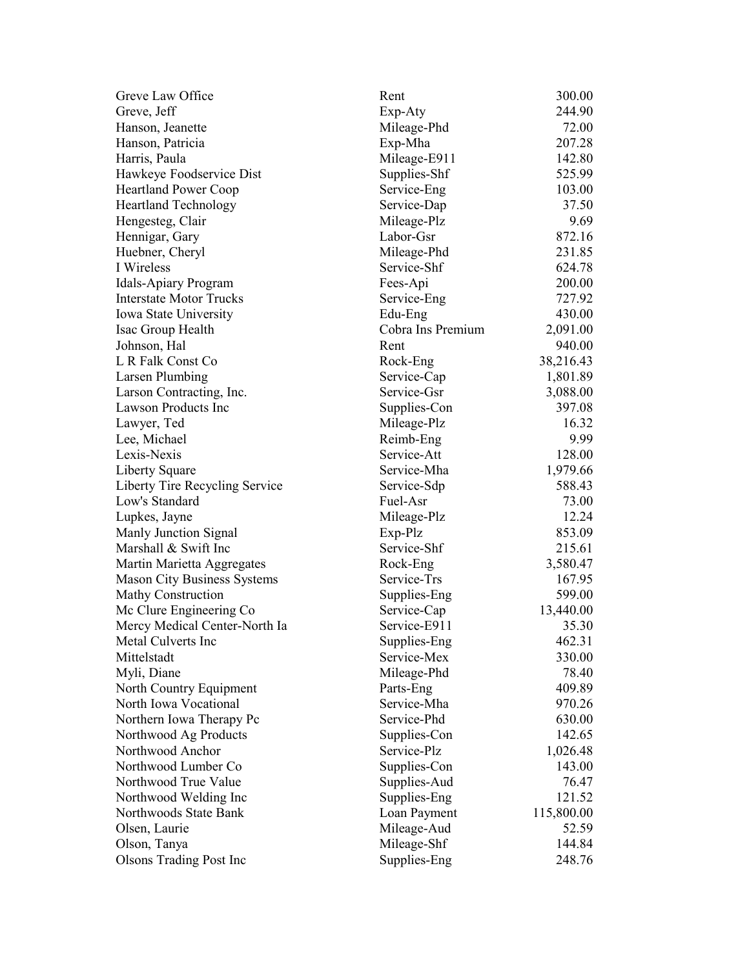| Greve Law Office               | Rent              | 300.00     |
|--------------------------------|-------------------|------------|
| Greve, Jeff                    | Exp-Aty           | 244.90     |
| Hanson, Jeanette               | Mileage-Phd       | 72.00      |
| Hanson, Patricia               | Exp-Mha           | 207.28     |
| Harris, Paula                  | Mileage-E911      | 142.80     |
| Hawkeye Foodservice Dist       | Supplies-Shf      | 525.99     |
| <b>Heartland Power Coop</b>    | Service-Eng       | 103.00     |
| <b>Heartland Technology</b>    | Service-Dap       | 37.50      |
| Hengesteg, Clair               | Mileage-Plz       | 9.69       |
| Hennigar, Gary                 | Labor-Gsr         | 872.16     |
| Huebner, Cheryl                | Mileage-Phd       | 231.85     |
| I Wireless                     | Service-Shf       | 624.78     |
| Idals-Apiary Program           | Fees-Api          | 200.00     |
| <b>Interstate Motor Trucks</b> | Service-Eng       | 727.92     |
| Iowa State University          | Edu-Eng           | 430.00     |
| Isac Group Health              | Cobra Ins Premium | 2,091.00   |
| Johnson, Hal                   | Rent              | 940.00     |
| L R Falk Const Co              | Rock-Eng          | 38,216.43  |
| <b>Larsen Plumbing</b>         | Service-Cap       | 1,801.89   |
| Larson Contracting, Inc.       | Service-Gsr       | 3,088.00   |
| <b>Lawson Products Inc</b>     | Supplies-Con      | 397.08     |
| Lawyer, Ted                    | Mileage-Plz       | 16.32      |
| Lee, Michael                   | Reimb-Eng         | 9.99       |
| Lexis-Nexis                    | Service-Att       | 128.00     |
| Liberty Square                 | Service-Mha       | 1,979.66   |
| Liberty Tire Recycling Service | Service-Sdp       | 588.43     |
| Low's Standard                 | Fuel-Asr          | 73.00      |
| Lupkes, Jayne                  | Mileage-Plz       | 12.24      |
| Manly Junction Signal          | Exp-Plz           | 853.09     |
| Marshall & Swift Inc           | Service-Shf       | 215.61     |
| Martin Marietta Aggregates     | Rock-Eng          | 3,580.47   |
| Mason City Business Systems    | Service-Trs       | 167.95     |
| Mathy Construction             | Supplies-Eng      | 599.00     |
| Mc Clure Engineering Co        | Service-Cap       | 13,440.00  |
| Mercy Medical Center-North Ia  | Service-E911      | 35.30      |
| Metal Culverts Inc             | Supplies-Eng      | 462.31     |
| Mittelstadt                    | Service-Mex       | 330.00     |
| Myli, Diane                    | Mileage-Phd       | 78.40      |
| North Country Equipment        | Parts-Eng         | 409.89     |
| North Iowa Vocational          | Service-Mha       | 970.26     |
| Northern Iowa Therapy Pc       | Service-Phd       | 630.00     |
| Northwood Ag Products          | Supplies-Con      | 142.65     |
| Northwood Anchor               | Service-Plz       | 1,026.48   |
| Northwood Lumber Co            | Supplies-Con      | 143.00     |
| Northwood True Value           | Supplies-Aud      | 76.47      |
| Northwood Welding Inc          | Supplies-Eng      | 121.52     |
| Northwoods State Bank          | Loan Payment      | 115,800.00 |
| Olsen, Laurie                  | Mileage-Aud       | 52.59      |
| Olson, Tanya                   | Mileage-Shf       | 144.84     |
| <b>Olsons Trading Post Inc</b> | Supplies-Eng      | 248.76     |